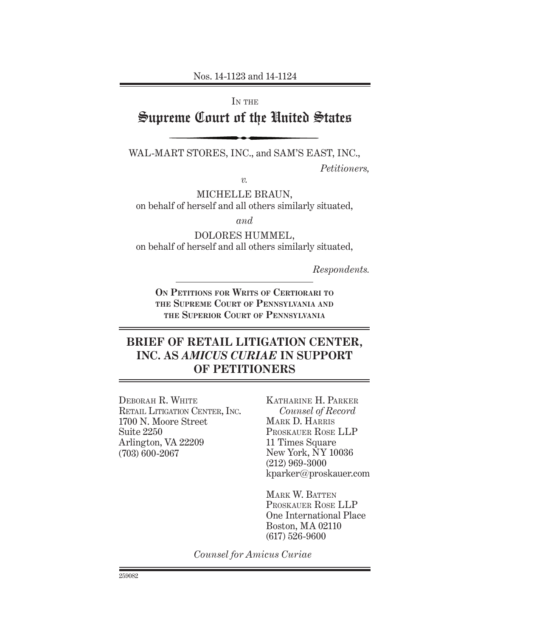#### Nos. 14-1123 and 14-1124

### IN THE

# Supreme Court of the United States

WAL-MART STORES, INC., and SAM'S EAST, INC.,

*Petitioners,*

*v.*

MICHELLE BRAUN, on behalf of herself and all others similarly situated,

*and*

DOLORES HUMMEL, on behalf of herself and all others similarly situated,

*Respondents.*

**ON PETITIONS FOR WRITS OF CERTIORARI TO THE SUPREME COURT OF PENNSYLVANIA AND THE SUPERIOR COURT OF PENNSYLVANIA**

# **BRIEF OF RETAIL LITIGATION CENTER, INC. AS** *AMICUS CURIAE* **IN SUPPORT OF PETITIONERS**

DEBORAH R. WHITE RETAIL LITIGATION CENTER, INC. 1700 N. Moore Street Suite 2250 Arlington, VA 22209 (703) 600-2067

KATHARINE H. PARKER  *Counsel of Record* MARK D. HARRIS PROSKAUER ROSE LLP 11 Times Square New York, NY 10036 (212) 969-3000 kparker@proskauer.com

MARK W. BATTEN PROSKAUER ROSE LLP One International Place Boston, MA 02110 (617) 526-9600

*Counsel for Amicus Curiae*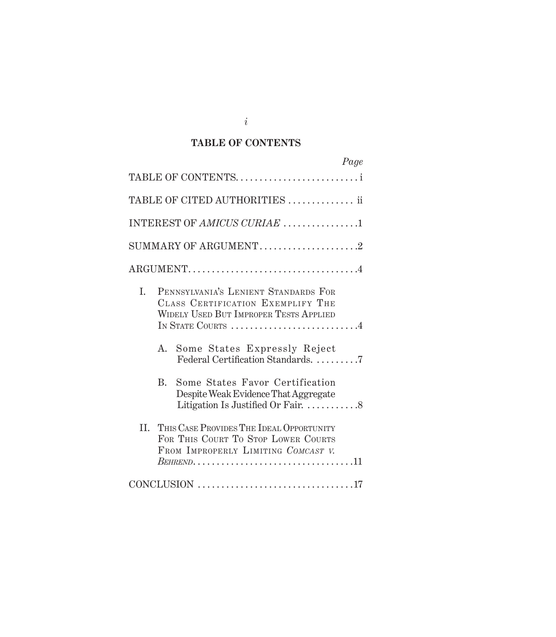## **TABLE OF CONTENTS**

| Page                                                                                                                                           |
|------------------------------------------------------------------------------------------------------------------------------------------------|
| TABLE OF CONTENTS                                                                                                                              |
| TABLE OF CITED AUTHORITIES  ii                                                                                                                 |
| INTEREST OF AMICUS CURIAE 1                                                                                                                    |
| SUMMARY OF ARGUMENT2                                                                                                                           |
| $\text{ARGUMENT} \dots \dots \dots \dots \dots \dots \dots \dots \dots \dots \dots \dots$                                                      |
| I.<br>PENNSYLVANIA'S LENIENT STANDARDS FOR<br>CLASS CERTIFICATION EXEMPLIFY THE<br>WIDELY USED BUT IMPROPER TESTS APPLIED<br>IN STATE COURTS 4 |
| Some States Expressly Reject<br>A.<br>Federal Certification Standards. 7                                                                       |
| $\rm B$ .<br>Some States Favor Certification<br>Despite Weak Evidence That Aggregate<br>Litigation Is Justified Or Fair. 8                     |
| II.<br>THIS CASE PROVIDES THE IDEAL OPPORTUNITY<br>FOR THIS COURT TO STOP LOWER COURTS<br>FROM IMPROPERLY LIMITING COMCAST V.                  |
|                                                                                                                                                |

*i*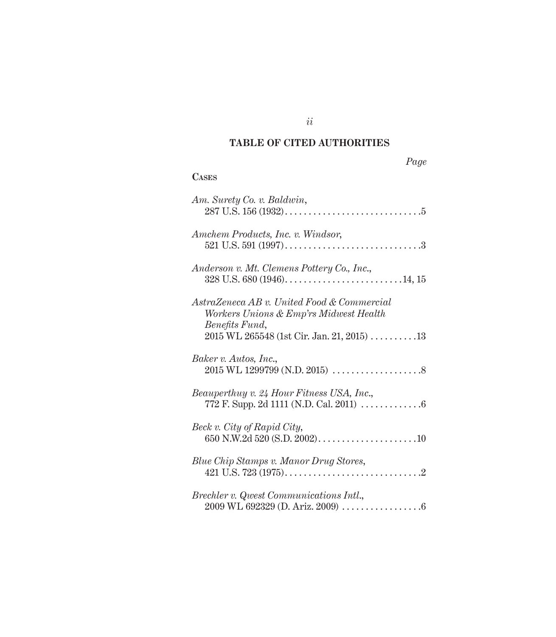#### **TABLE OF CITED AUTHORITIES**

#### *Page*

# **CASES** *Am. Surety Co. v. Baldwin*, 287 U.S. 156 (1932) . . . . . . . . . . . . . . . . . . . . . . . . . . . . .5 *Amchem Products, Inc. v. Windsor*, 521 U.S. 591 (1997) . . . . . . . . . . . . . . . . . . . . . . . . . . . . .3 *Anderson v. Mt. Clemens Pottery Co., Inc*., 328 U.S. 680 (1946). . . . . . . . . . . . . . . . . . . . . . . . .14, 15 *AstraZeneca AB v. United Food & Commercial Workers Unions & Emp'rs Midwest Health Benefits Fund*, 2015 WL 265548 (1st Cir. Jan. 21, 2015) . . . . . . . . . .13 *Baker v. Autos, Inc*., 2015 WL 1299799 (N.D. 2015) . . . . . . . . . . . . . . . . . . .8 *Beauperthuy v. 24 Hour Fitness USA, Inc*., 772 F. Supp. 2d 1111 (N.D. Cal. 2011) . . . . . . . . . . . . .6 *Beck v. City of Rapid City*, 650 N.W.2d 520 (S.D. 2002) . . . . . . . . . . . . . . . . . . . . .10 *Blue Chip Stamps v. Manor Drug Stores*, 421 U.S. 723 (1975). . . . . . . . . . . . . . . . . . . . . . . . . . . . .2 *Brechler v. Qwest Communications Intl*., 2009 WL 692329 (D. Ariz. 2009) . . . . . . . . . . . . . . . . .6

*ii*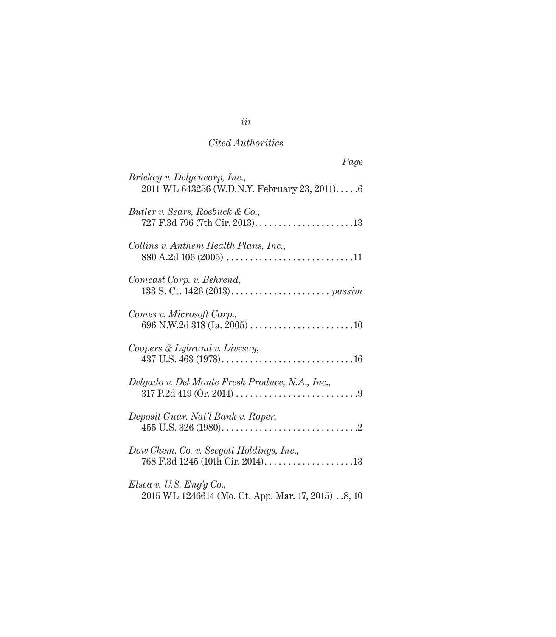| Page                                                                            |
|---------------------------------------------------------------------------------|
| Brickey v. Dolgencorp, Inc.,<br>2011 WL 643256 (W.D.N.Y. February 23, 2011)6    |
| Butler v. Sears, Roebuck & Co.,                                                 |
| Collins v. Anthem Health Plans, Inc.,                                           |
| Comcast Corp. v. Behrend,                                                       |
| Comes v. Microsoft Corp.,                                                       |
| Coopers & Lybrand v. Livesay,                                                   |
| Delgado v. Del Monte Fresh Produce, N.A., Inc.,                                 |
| Deposit Guar. Nat'l Bank v. Roper,                                              |
| Dow Chem. Co. v. Seegott Holdings, Inc.,                                        |
| $Elseav.$ U.S. $Eng'g Co.$<br>2015 WL 1246614 (Mo. Ct. App. Mar. 17, 2015)8, 10 |

# *iii*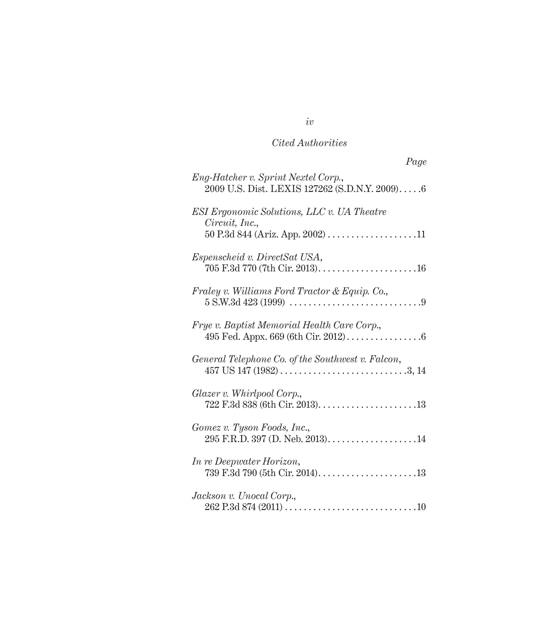| Page                                                                                 |
|--------------------------------------------------------------------------------------|
| Eng-Hatcher v. Sprint Nextel Corp.,<br>2009 U.S. Dist. LEXIS 127262 (S.D.N.Y. 2009)6 |
| <b>ESI Ergonomic Solutions, LLC v. UA Theatre</b><br>Circuit, Inc.,                  |
| Espenscheid v. DirectSat USA,                                                        |
| Fraley v. Williams Ford Tractor & Equip. Co.,                                        |
| Frye v. Baptist Memorial Health Care Corp.,                                          |
| General Telephone Co. of the Southwest v. Falcon,                                    |
| Glazer v. Whirlpool Corp.,                                                           |
| Gomez v. Tyson Foods, Inc.,                                                          |
| In re Deepwater Horizon,                                                             |
| Jackson v. Unocal Corp.,                                                             |

*iv*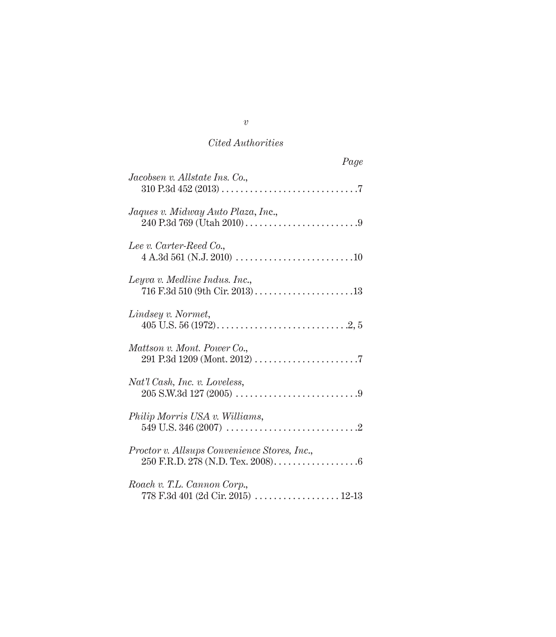| Page                                                                                                           |
|----------------------------------------------------------------------------------------------------------------|
| Jacobsen v. Allstate Ins. Co.,                                                                                 |
| Jaques v. Midway Auto Plaza, Inc.,                                                                             |
| Lee v. Carter-Reed Co.,<br>$4 A.3d 561 (N.J. 2010) \ldots \ldots \ldots \ldots \ldots \ldots \ldots \ldots 10$ |
| Leyva v. Medline Indus. Inc.,                                                                                  |
| Lindsey v. Normet,                                                                                             |
| Mattson v. Mont. Power Co.,                                                                                    |
| Nat'l Cash, Inc. v. Loveless,                                                                                  |
| Philip Morris USA v. Williams,                                                                                 |
| Proctor v. Allsups Convenience Stores, Inc.,                                                                   |
| Roach v. T.L. Cannon Corp.,                                                                                    |

*v*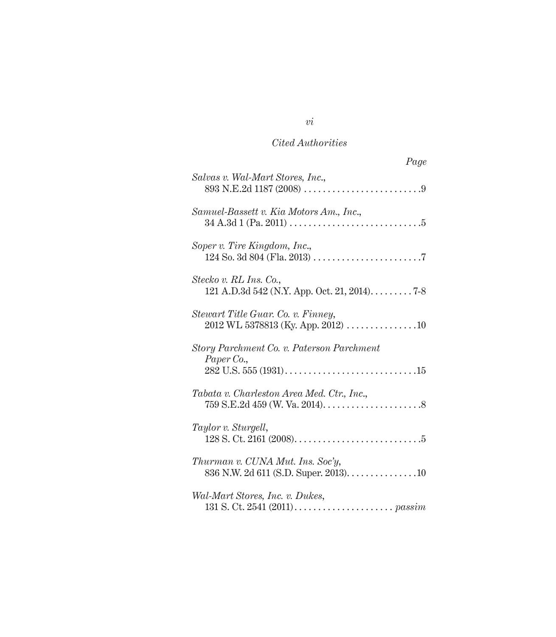| Page                                                                                                                        |
|-----------------------------------------------------------------------------------------------------------------------------|
| Salvas v. Wal-Mart Stores, Inc.,                                                                                            |
| Samuel-Bassett v. Kia Motors Am., Inc.,<br>$34 A.3d 1 (Pa. 2011) \ldots \ldots \ldots \ldots \ldots \ldots \ldots \ldots 5$ |
| Soper v. Tire Kingdom, Inc.,                                                                                                |
| Stecko v. RL Ins. Co.,<br>121 A.D.3d 542 (N.Y. App. Oct. 21, 2014). 7-8                                                     |
| Stewart Title Guar. Co. v. Finney,<br>2012 WL 5378813 (Ky. App. 2012) 10                                                    |
| Story Parchment Co. v. Paterson Parchment<br>Paper Co.,                                                                     |
| Tabata v. Charleston Area Med. Ctr., Inc.,                                                                                  |
| Taylor v. Sturgell,                                                                                                         |
| Thurman v. CUNA Mut. Ins. Soc'y,<br>836 N.W. 2d 611 (S.D. Super. 2013). 10                                                  |
| Wal-Mart Stores, Inc. v. Dukes,                                                                                             |

*vi*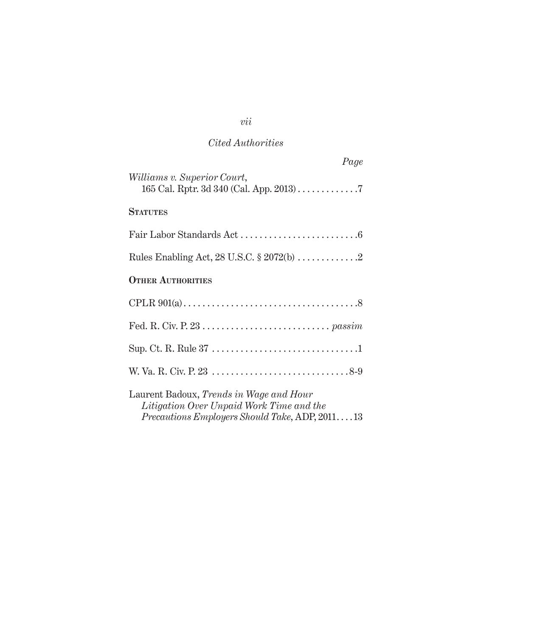|                                                                                                                                       | Page |
|---------------------------------------------------------------------------------------------------------------------------------------|------|
| <i>Williams v. Superior Court,</i><br>165 Cal. Rptr. 3d 340 (Cal. App. 2013) 7                                                        |      |
| <b>STATUTES</b>                                                                                                                       |      |
|                                                                                                                                       |      |
|                                                                                                                                       |      |
| <b>OTHER AUTHORITIES</b>                                                                                                              |      |
|                                                                                                                                       |      |
|                                                                                                                                       |      |
|                                                                                                                                       |      |
|                                                                                                                                       |      |
| Laurent Badoux, Trends in Wage and Hour<br>Litigation Over Unpaid Work Time and the<br>Precautions Employers Should Take, ADP, 201113 |      |

# *vii*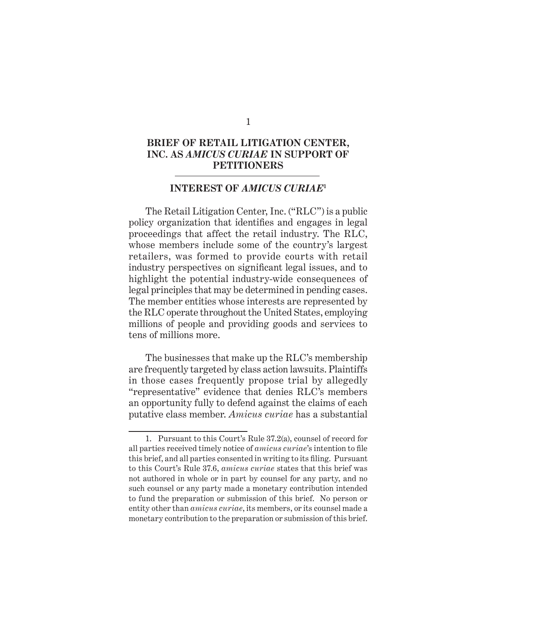### **BRIEF OF RETAIL LITIGATION CENTER, INC. AS** *AMICUS CURIAE* **IN SUPPORT OF PETITIONERS**

#### **I NTEREST OF** *AMICUS CURIAE***<sup>1</sup>**

The Retail Litigation Center, Inc. ("RLC") is a public policy organization that identifies and engages in legal proceedings that affect the retail industry. The RLC, whose members include some of the country's largest retailers, was formed to provide courts with retail industry perspectives on significant legal issues, and to highlight the potential industry-wide consequences of legal principles that may be determined in pending cases. The member entities whose interests are represented by the RLC operate throughout the United States, employing millions of people and providing goods and services to tens of millions more.

The businesses that make up the RLC's membership are frequently targeted by class action lawsuits. Plaintiffs in those cases frequently propose trial by allegedly "representative" evidence that denies RLC's members an opportunity fully to defend against the claims of each putative class member. *Amicus curiae* has a substantial

<sup>1.</sup> Pursuant to this Court's Rule  $37.2(a)$ , counsel of record for all parties received timely notice of *amicus curiae*'s intention to file this brief, and all parties consented in writing to its filing. Pursuant to this Court's Rule 37.6, *amicus curiae* states that this brief was not authored in whole or in part by counsel for any party, and no such counsel or any party made a monetary contribution intended to fund the preparation or submission of this brief. No person or entity other than *amicus curiae*, its members, or its counsel made a monetary contribution to the preparation or submission of this brief.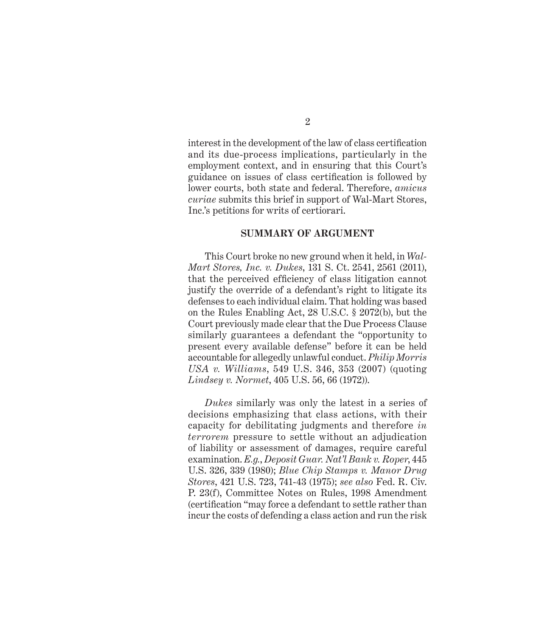interest in the development of the law of class certification and its due-process implications, particularly in the employment context, and in ensuring that this Court's guidance on issues of class certification is followed by lower courts, both state and federal. Therefore, *amicus curiae* submits this brief in support of Wal-Mart Stores, Inc.'s petitions for writs of certiorari.

#### **SUMMARY OF ARGUMENT**

This Court broke no new ground when it held, in *Wal-Mart Stores, Inc. v. Dukes*, 131 S. Ct. 2541, 2561 (2011), that the perceived efficiency of class litigation cannot justify the override of a defendant's right to litigate its defenses to each individual claim. That holding was based on the Rules Enabling Act, 28 U.S.C.  $\S 2072(b)$ , but the Court previously made clear that the Due Process Clause similarly guarantees a defendant the "opportunity to present every available defense" before it can be held accountable for allegedly unlawful conduct. *Phi lip Morris USA v. Williams*, 549 U.S. 346, 353 (2007) (quoting *Lin dsey v. Normet*, 405 U.S. 56, 66 (1972)).

*Duk es* similarly was only the latest in a series of decisions emphasizing that class actions, with their capacity for debilitating judgments and therefore *in terrorem* pressure to settle without an adjudication of liability or assessment of damages, require careful examination. *E.g.*, *Dep osit Guar. Nat'l Bank v. Roper*, 445 U.S. 326, 339 (1980); *Blue Chip Stamps v. Manor Drug Stores,* 421 U.S. 723, 741-43 (1975); *see also* Fed. R. Civ. P. 23(f), Committee Notes on Rules, 1998 Amendment (certification "may force a defendant to settle rather than incur the costs of defending a class action and run the risk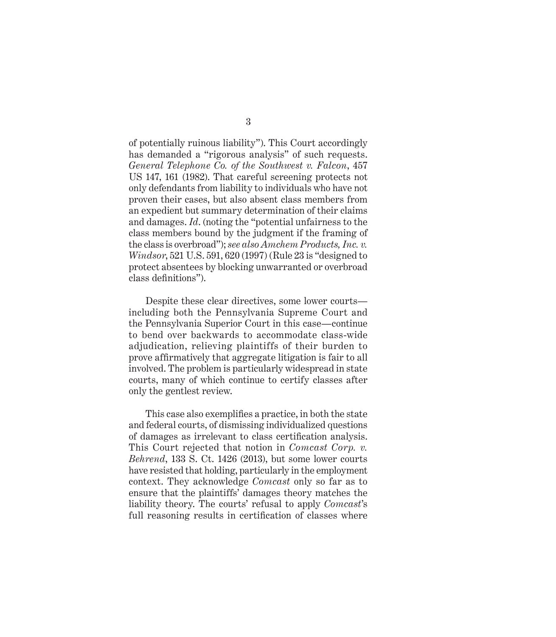of potentially ruinous liability"). This Court accordingly has demanded a "rigorous analysis" of such requests. *Gen eral Telephone Co. of the Southwest v. Falcon*, 457 US 147, 161 (1982). That careful screening protects not only defendants from liability to individuals who have not proven their cases, but also absent class members from an expedient but summary determination of their claims and damages. *Id*. (noting the "potential unfairness to the class members bound by the judgment if the framing of the class is overbroad"); *see also Amchem Products, Inc. v. Windsor*, 521 U.S. 591, 620 (1997) (Rule 23 is "designed to protect absentees by blocking unwarranted or overbroad class definitions").

Despite these clear directives, some lower courts including both the Pennsylvania Supreme Court and the Pennsylvania Superior Court in this case—continue to bend over backwards to accommodate class-wide adjudication, relieving plaintiffs of their burden to prove affirmatively that aggregate litigation is fair to all involved. The problem is particularly widespread in state courts, many of which continue to certify classes after only the gentlest review.

This case also exemplifies a practice, in both the state and federal courts, of dismissing individualized questions of damages as irrelevant to class certification analysis. This Court rejected that notion in *Comcast Corp. v. Behrend*, 133 S. Ct. 1426 (2013), but some lower courts have resisted that holding, particularly in the employment context. They acknowledge *Comcast* only so far as to ensure that the plaintiffs' damages theory matches the liability theory. The courts' refusal to apply *Comcast*'s full reasoning results in certification of classes where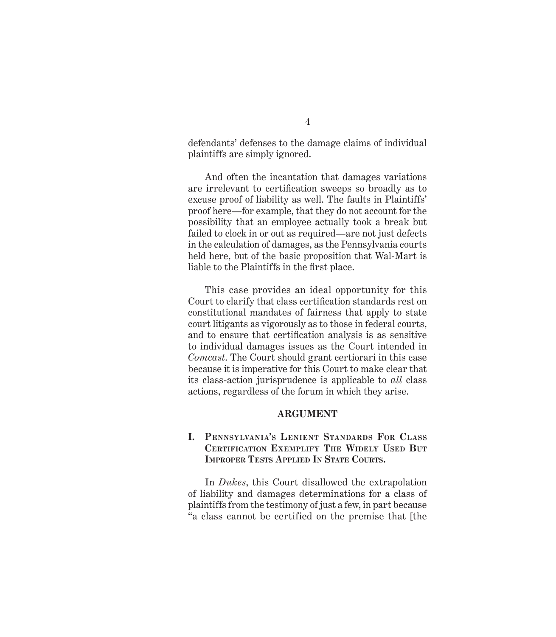defendants' defenses to the damage claims of individual plaintiffs are simply ignored.

And often the incantation that damages variations are irrelevant to certification sweeps so broadly as to excuse proof of liability as well. The faults in Plaintiffs' proof here—for example, that they do not account for the possibility that an employee actually took a break but failed to clock in or out as required—are not just defects in the calculation of damages, as the Pennsylvania courts held here, but of the basic proposition that Wal-Mart is liable to the Plaintiffs in the first place.

This case provides an ideal opportunity for this Court to clarify that class certification standards rest on constitutional mandates of fairness that apply to state court litigants as vigorously as to those in federal courts, and to ensure that certification analysis is as sensitive to individual damages issues as the Court intended in *Com cast*. The Court should grant certiorari in this case because it is imperative for this Court to make clear that its class-action jurisprudence is applicable to *all* class actions, regardless of the forum in which they arise.

#### **ARGUMENT**

### **I. PENNSYLVANIA'S LENIENT STANDARDS FOR CLASS CERTIFICATION EXEMPLIFY THE WIDELY USED BUT IMPROPER TESTS APPLIED IN STATE COURTS.**

In *Duk es*, this Court disallowed the extrapolation of liability and damages determinations for a class of plaintiffs from the testimony of just a few, in part because "a class cannot be certified on the premise that [the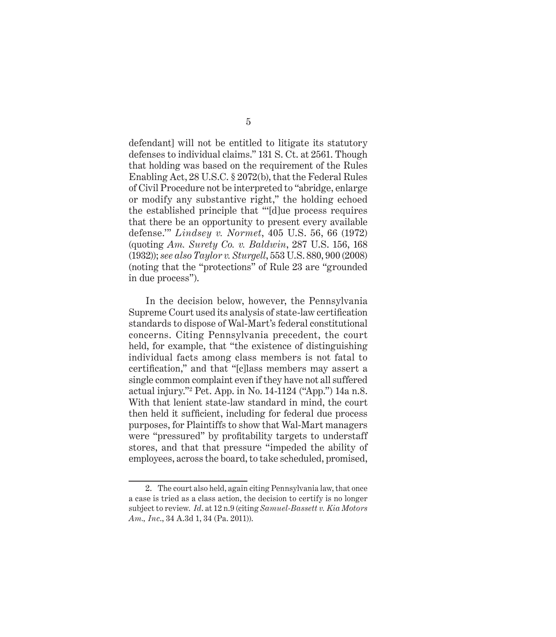defendant] will not be entitled to litigate its statutory defenses to individual claims." 131 S. Ct. at 2561. Though that holding was based on the requirement of the Rules Enabling Act, 28 U.S.C. § 2072(b), that the Federal Rules of Civil Procedure not be interpreted to "abridge, enlarge or modify any substantive right," the holding echoed the established principle that "'[d]ue process requires that there be an opportunity to present every available defense." *Lindsey v. Normet*, 405 U.S. 56, 66 (1972) (quoting *Am. Surety Co. v. Baldwin*, 287 U.S. 156, 168) (1932)); *see also Taylor v. Sturgell*, 553 U.S. 880, 900 (2008) (noting that the "protections" of Rule 23 are "grounded in due process").

In the decision below, however, the Pennsylvania Supreme Court used its analysis of state-law certification standards to dispose of Wal-Mart's federal constitutional concerns. Citing Pennsylvania precedent, the court held, for example, that "the existence of distinguishing individual facts among class members is not fatal to certification," and that "[c]lass members may assert a single common complaint even if they have not all suffered actual injury."2 Pet. App. in No. 14-1124 ("App.") 14a n.8. With that lenient state-law standard in mind, the court then held it sufficient, including for federal due process purposes, for Plaintiffs to show that Wal-Mart managers were "pressured" by profitability targets to understaff stores, and that that pressure "impeded the ability of employees, across the board, to take scheduled, promised,

<sup>2.</sup> The court also held, again citing Pennsylvania law, that once a case is tried as a class action, the decision to certify is no longer subject to review. *Id.* at 12 n.9 (citing *Samuel-Bassett v. Kia Motors Am., Inc*., 34 A.3d 1, 34 (Pa. 2011)).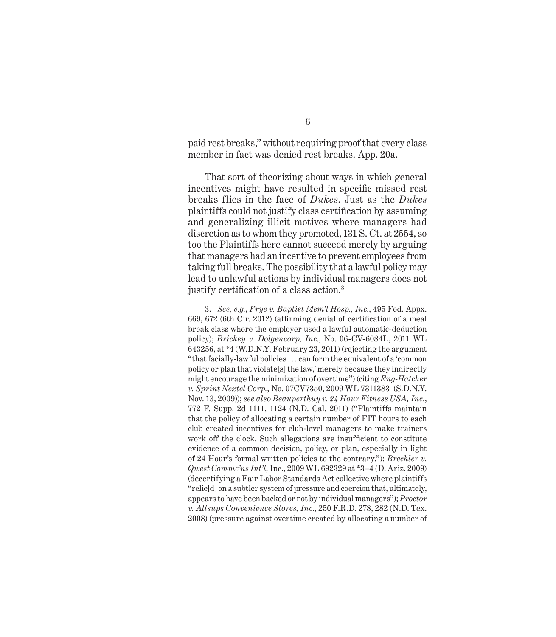paid rest breaks," without requiring proof that every class member in fact was denied rest breaks. App. 20a.

That sort of theorizing about ways in which general incentives might have resulted in specific missed rest breaks flies in the face of *Dukes* . Just as the *Dukes*  plaintiffs could not justify class certification by assuming and generalizing illicit motives where managers had discretion as to whom they promoted,  $131$  S. Ct. at  $2554$ , so too the Plaintiffs here cannot succeed merely by arguing that managers had an incentive to prevent employees from taking full breaks. The possibility that a lawful policy may lead to unlawful actions by individual managers does not justify certification of a class action.<sup>3</sup>

<sup>3.</sup> *See, e.g.*, *F rye v. Baptist Mem'l Hosp., Inc.*, 495 Fed. Appx. 669, 672 (6th Cir. 2012) (affirming denial of certification of a meal break class where the employer used a lawful automatic-deduction policy); *B rickey v. Dolgencorp, Inc*., No. 06-CV-6084L, 2011 WL 643256, at \*4 (W.D.N.Y. February 23, 2011) (rejecting the argument "that facially-lawful policies . . . can form the equivalent of a 'common policy or plan that violate[s] the law,' merely because they indirectly might encourage the minimization of overtime") (citing *Eng -Hatcher v. Sprint Nextel Corp.*, No. 07CV7350, 2009 WL 7311383 (S.D.N.Y. Nov. 13, 2009)); *see also Bea uperthuy v. 24 Hour Fitness USA, Inc*., 772 F. Supp. 2d 1111, 1124 (N.D. Cal. 2011) ("Plaintiffs maintain that the policy of allocating a certain number of FIT hours to each club created incentives for club-level managers to make trainers work off the clock. Such allegations are insufficient to constitute evidence of a common decision, policy, or plan, especially in light of 24 Hour's formal written policies to the contrary."); *Brechler v. Qwest Commc'ns Int'l*, Inc., 2009 WL 692329 at \*3–4 (D. Ariz. 2009) (decertifying a Fair Labor Standards Act collective where plaintiffs "relie[d] on a subtler system of pressure and coercion that, ultimately, appears to have been backed or not by individual managers"); *Proctor v. Allsups Convenience Stores, Inc*., 250 F.R.D. 278, 282 (N.D. Tex. 2008) (pressure against overtime created by allocating a number of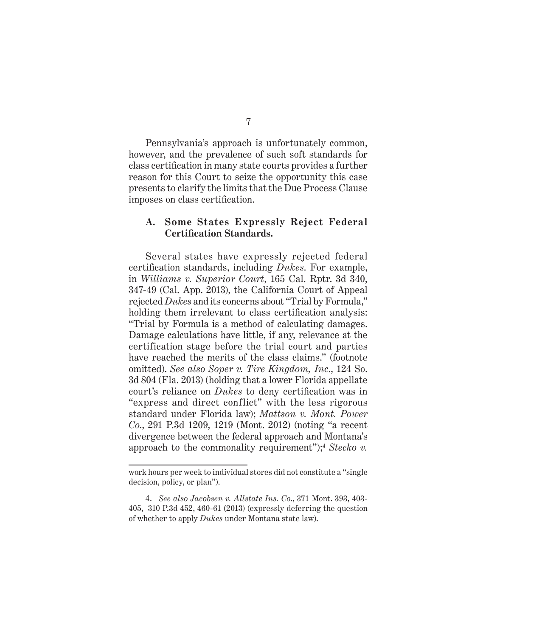Pennsylvania's approach is unfortunately common, however, and the prevalence of such soft standards for class certification in many state courts provides a further reason for this Court to seize the opportunity this case presents to clarify the limits that the Due Process Clause imposes on class certification.

## **A. Some States Expressly Reject Federal Certification Standards.**

Several states have expressly rejected federal certification standards, including *Dukes*. For example, in *Williams v. Superior Court*, 165 Cal. Rptr. 3d 340, 347-49 (Cal. App. 2013), the California Court of Appeal rejected *Dukes* and its concerns about "Trial by Formula," holding them irrelevant to class certification analysis: "Trial by Formula is a method of calculating damages. Damage calculations have little, if any, relevance at the certification stage before the trial court and parties have reached the merits of the class claims." (footnote omitted). *See also Soper v. Tire Kingdom, Inc*., 124 So. 3d 804 (Fla. 2013) (holding that a lower Florida appellate court's reliance on *Dukes* to deny certification was in "express and direct conflict" with the less rigorous standard under Florida law); *Mattson v. Mont. Power Co*., 291 P.3d 1209, 1219 (Mont. 2012) (noting "a recent divergence between the federal approach and Montana's approach to the commonality requirement");<sup>4</sup> *Stecko v.* 

work hours per week to individual stores did not constitute a "single decision, policy, or plan").

<sup>4.</sup> *See also Jacobsen v. Allstate Ins. Co.*, 371 Mont. 393, 403-405, 310 P.3d 452, 460-61 (2013) (expressly deferring the question of whether to apply *D ukes* under Montana state law).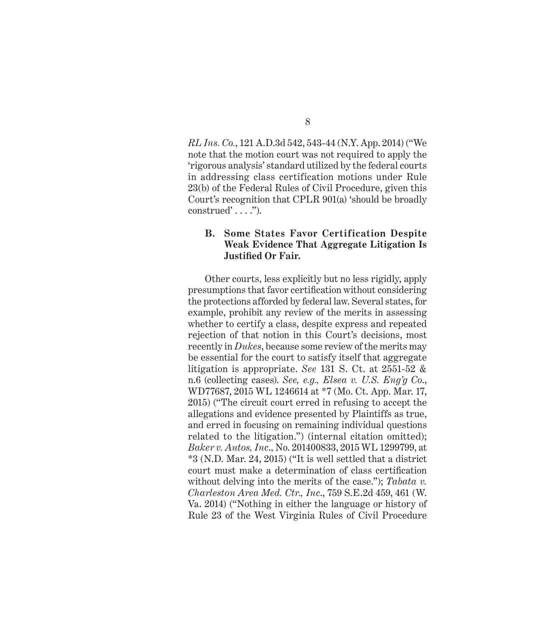*RL Ins. Co.*, 121 A.D.3d 542, 543-44 (N.Y. App. 2014) ("We note that the motion court was not required to apply the 'rigorous analysis' standard utilized by the federal courts in addressing class certification motions under Rule 23(b) of the Federal Rules of Civil Procedure, given this Court's recognition that CPLR 901(a) 'should be broadly  $constructed' \dots$ ").

## **B. Some States Favor Certification Despite Weak Evidence That Aggregate Litigation Is Justified Or Fair.**

Other courts, less explicitly but no less rigidly, apply presumptions that favor certification without considering the protections afforded by federal law. Several states, for example, prohibit any review of the merits in assessing whether to certify a class, despite express and repeated rejection of that notion in this Court's decisions, most recently in  $Dukes$ , because some review of the merits may be essential for the court to satisfy itself that aggregate litigation is appropriate. *See* 131 S. Ct. at  $2551-52$  & n.6 (collecting cases). *See, e.g., Elsea v. U.S. Eng'g Co*., WD77687, 2015 WL 1246614 at \*7 (Mo. Ct. App. Mar. 17, 2015) ("The circuit court erred in refusing to accept the allegations and evidence presented by Plaintiffs as true, and erred in focusing on remaining individual questions related to the litigation.") (internal citation omitted); *Baker v. Autos, Inc*., No. 201400833, 2015 WL 1299799, at \*3 (N.D. Mar. 24, 2015) ("It is well settled that a district court must make a determination of class certification without delving into the merits of the case."); *Tabata v. Charleston Area Med. Ctr., Inc*., 759 S.E.2d 459, 461 (W. Va. 2014) ("Nothing in either the language or history of Rule 23 of the West Virginia Rules of Civil Procedure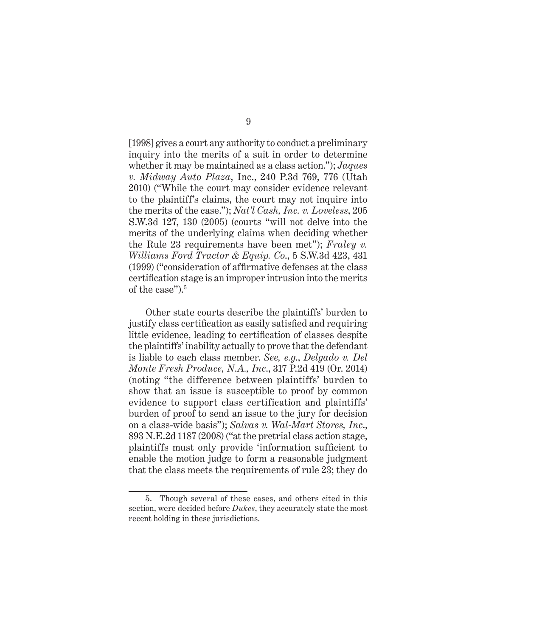[1998] gives a court any authority to conduct a preliminary inquiry into the merits of a suit in order to determine whether it may be maintained as a class action."); *Jaques v. Midway Auto Plaza*, Inc., 240 P.3d 769, 776 (Utah 2010) ("While the court may consider evidence relevant to the plaintiff's claims, the court may not inquire into the merits of the case."); *Nat'l Cash, Inc. v. Loveless*, 205 S.W.3d 127, 130 (2005) (courts "will not delve into the merits of the underlying claims when deciding whether the Rule 23 requirements have been met"); *Fraley v. Williams Ford Tractor & Equip. Co*., 5 S.W.3d 423, 431  $(1999)$  ("consideration of affirmative defenses at the class") certification stage is an improper intrusion into the merits of the case").<sup>5</sup>

Other state courts describe the plaintiffs' burden to justify class certification as easily satisfied and requiring little evidence, leading to certification of classes despite the plaintiffs' inability actually to prove that the defendant is liable to each class member. *See, e.g*., *Delgado v. Del Monte Fresh Produce, N.A., Inc*., 317 P.2d 419 (Or. 2014) (noting "the difference between plaintiffs' burden to show that an issue is susceptible to proof by common evidence to support class certification and plaintiffs' burden of proof to send an issue to the jury for decision on a class-wide basis"); *Salvas v. Wal-Mart Stores, Inc.*, 893 N.E.2d 1187 (2008) ("at the pretrial class action stage, plaintiffs must only provide 'information sufficient to enable the motion judge to form a reasonable judgment that the class meets the requirements of rule 23; they do

<sup>5.</sup> Though several of these cases, and others cited in this section, were decided before *Dukes*, they accurately state the most recent holding in these jurisdictions.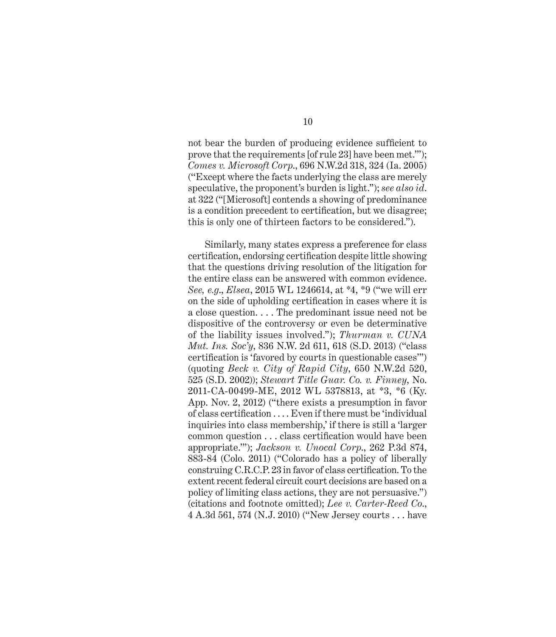not bear the burden of producing evidence sufficient to prove that the requirements [of rule 23] have been met.'"); *Comes v. Microsoft Corp*., 696 N.W.2d 318, 324 (Ia. 2005) (''Except where the facts underlying the class are merely speculative, the proponent's burden is light."); *see also id*. at 322 ("[Microsoft] contends a showing of predominance is a condition precedent to certification, but we disagree; this is only one of thirteen factors to be considered.").

Similarly, many states express a preference for class certification, endorsing certification despite little showing that the questions driving resolution of the litigation for the entire class can be answered with common evidence. *See, e.g., Elsea, 2015 WL 1246614, at \*4, \*9 ("we will err* on the side of upholding certification in cases where it is a close question. . . . The predominant issue need not be dispositive of the controversy or even be determinative of the liability issues involved."); *Thurman v. CUNA Mut. Ins. Soc'y*, 836 N.W. 2d 611, 618 (S.D. 2013) ("class certification is 'favored by courts in questionable cases'") (quoting *Beck v. City of Rapid City*, 650 N.W.2d 520, 525 (S.D. 2002)); *Stewart Ti tle Guar. Co. v. Finney*, No. 2011-CA-00499-ME, 2012 WL 5378813, at \*3, \*6 (Ky. App. Nov. 2, 2012) ("there exists a presumption in favor of class certification .... Even if there must be 'individual inquiries into class membership,' if there is still a 'larger common question . . . class certification would have been appropriate.'"); *Jackson v. Uno cal Corp*., 262 P.3d 874, 883-84 (Colo. 2011) ("Colorado has a policy of liberally construing  $C.R.C.P. 23$  in favor of class certification. To the extent recent federal circuit court decisions are based on a policy of limiting class actions, they are not persuasive.") (citations and footnote omitted); *Lee v. Carter- Reed Co*., 4 A.3d 561, 574 (N.J. 2010) ("New Jersey courts . . . have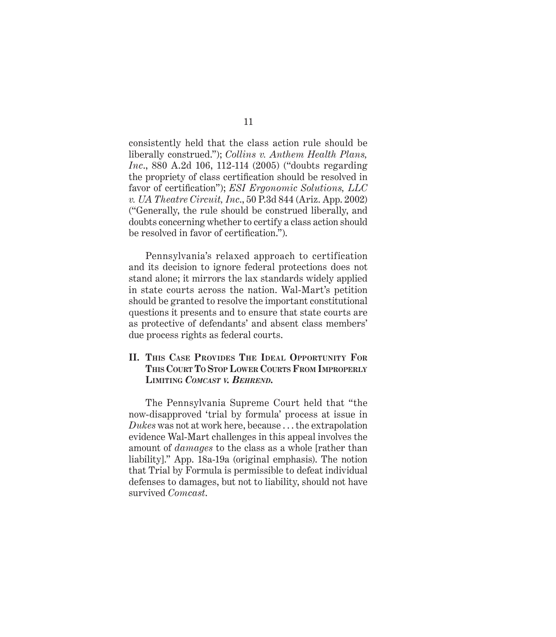consistently held that the class action rule should be liberally construed."); *Collins v. Anthem Health Plans, Inc*., 880 A.2d 106, 112-114 (2005) ("doubts regarding the propriety of class certification should be resolved in favor of certification"); *ESI Ergonomic Solutions, LLC v. UA Theatre Circuit, Inc*., 50 P.3d 844 (Ariz. App. 2002) ("Generally, the rule should be construed liberally, and doubts concerning whether to certify a class action should be resolved in favor of certification.").

Pennsylvania's relaxed approach to certification and its decision to ignore federal protections does not stand alone; it mirrors the lax standards widely applied in state courts across the nation. Wal-Mart's petition should be granted to resolve the important constitutional questions it presents and to ensure that state courts are as protective of defendants' and absent class members' due process rights as federal courts.

### **II. THIS CASE PROVIDES THE IDEAL OPPORTUNITY FOR THIS COURT TO STOP LOWER COURTS FROM IMPROPERLY LIMITING** *COMCAST V. BEHREND***.**

The Pennsylvania Supreme Court held that "the now-disapproved 'trial by formula' process at issue in *Dukes* was not at work here, because . . . the extrapolation evidence Wal-Mart challenges in this appeal involves the amount of *damages* to the class as a whole [rather than liability]." App. 18a-19a (original emphasis). The notion that Trial by Formula is permissible to defeat individual defenses to damages, but not to liability, should not have survived *Comcast*.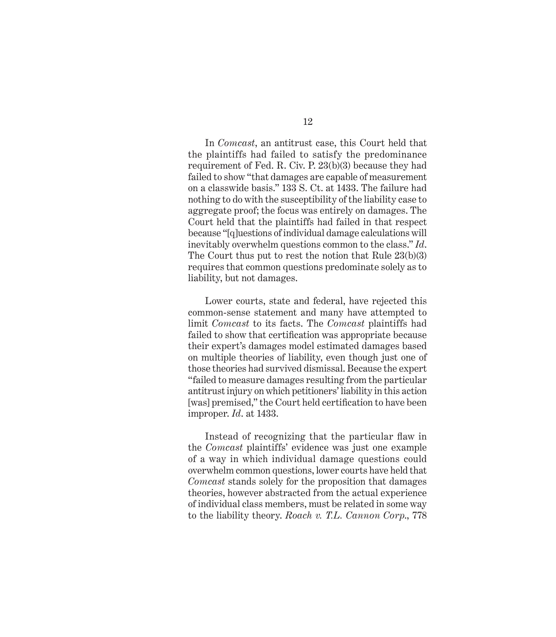In *Comcast*, an antitrust case, this Court held that the plaintiffs had failed to satisfy the predominance requirement of Fed. R. Civ. P. 23 (b)(3) because they had failed to show "that damages are capable of measurement on a classwide basis." 133 S. Ct. at 1433 . The failure had nothing to do with the susceptibility of the liability case to aggregate proof; the focus was entirely on damages. The Court held that the plaintiffs had failed in that respect because "[q]uestions of individual damage calculations will inevitably overwhelm questions common to the class." *Id*. The Court thus put to rest the notion that Rule 23(b)(3) requires that common questions predominate solely as to liability, but not damages.

Lower courts, state and federal, have rejected this common-sense statement and many have attempted to limit *Comcast* to its facts. The *Comcast* plaintiffs had failed to show that certification was appropriate because their expert's damages model estimated damages based on multiple theories of liability, even though just one of those theories had survived dismissal. Because the expert "failed to measure damages resulting from the particular antitrust injury on which petitioners' liability in this action [was] premised," the Court held certification to have been improper. *Id*. at 1433.

Instead of recognizing that the particular flaw in the *Comcast* plaintiffs' evidence was just one example of a way in which individual damage questions could overwhelm common questions, lower courts have held that *Comcast* stands solely for the proposition that damages theories, however abstracted from the actual experience of individual class members, must be related in some way to the liability theory. *Roach v. T.L. Cannon Corp.*, 778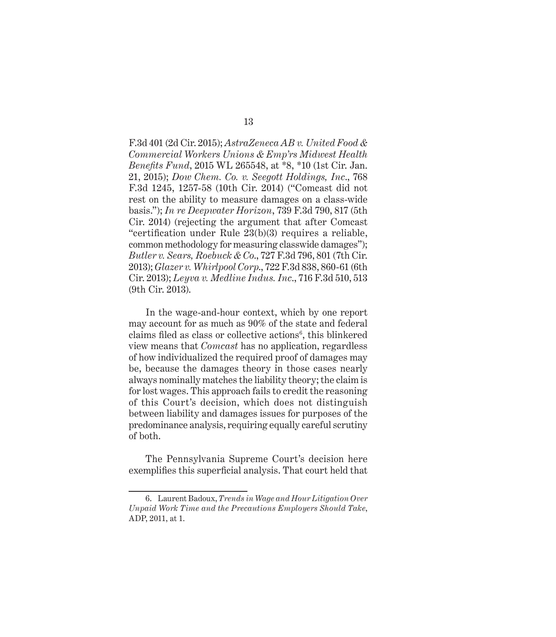F.3d 401 (2d Cir. 2015); *AstraZeneca AB v. United Food & Commercial Workers Unions & Emp'rs Midwest Health Benefits Fund*, 2015 WL 265548, at \*8, \*10 (1st Cir. Jan. 21, 2015); *Dow Chem. Co. v. S eegott Holdings, Inc*., 768 F.3d 1245, 1257-58 (10th Cir. 2014) ("Comcast did not rest on the ability to measure damages on a class-wide basis."); *In re Deepwater Ho rizon*, 739 F.3d 790, 817 (5th Cir. 2014) (rejecting the argument that after Comcast "certification under Rule  $23(b)(3)$  requires a reliable, common methodology for measuring classwide damages"); *Butler v. Sears, R oebuck & Co*., 727 F.3d 796, 801 (7th Cir. 2013); *Glazer v. Whirlpool Corp.*, 722 F.3d 838, 860-61 (6th Cir. 2013); *Leyva v. Medline Indus. Inc.*, 716 F.3d 510, 513 (9th Cir. 2013).

In the wage-and-hour context, which by one report may account for as much as 90% of the state and federal claims filed as class or collective actions<sup>6</sup>, this blinkered view means that *Comcast* has no application, regardless of how individualized the required proof of damages may be, because the damages theory in those cases nearly always nominally matches the liability theory; the claim is for lost wages. This approach fails to credit the reasoning of this Court's decision, which does not distinguish between liability and damages issues for purposes of the predominance analysis, requiring equally careful scrutiny of both.

The Pennsylvania Supreme Court's decision here exemplifies this superficial analysis. That court held that

<sup>6.</sup> L aurent Badoux, *Trends in Wage and Hour Litigation Over Unpaid Work Time and the Precautions Employers Should Take*, ADP, 2011, at 1.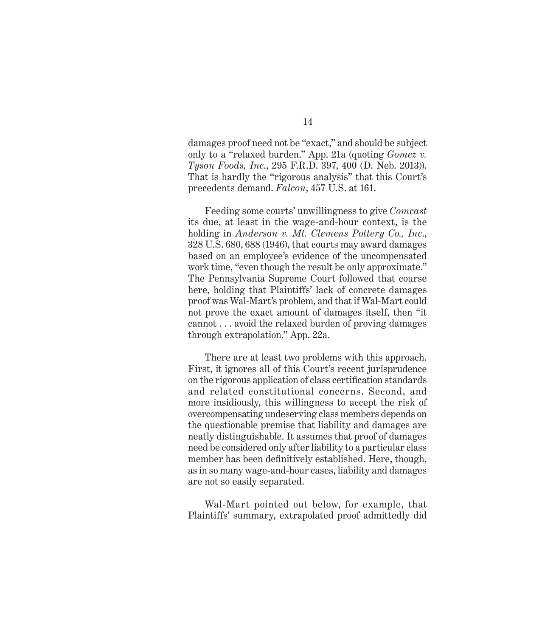damages proof need not be "exact," and should be subject only to a "relaxed burden." App. 21a (quoting *Gomez v. Tyson Foo ds, Inc*., 295 F.R.D. 397, 400 (D. Neb. 2013)). That is hardly the "rigorous analysis" that this Court's precedents demand. *Falcon*, 457 U.S. at 161.

Feeding some courts' unwillingness to give *Comcast* its due, at least in the wage-and-hour context, is the holding in *Anderson v. Mt. Clemens Pottery Co., Inc.*, 328 U.S. 680, 688 (1946), that courts may award damages based on an employee's evidence of the uncompensated work time, "even though the result be only approximate." The Pennsylvania Supreme Court followed that course here, holding that Plaintiffs' lack of concrete damages proof was Wal-Mart's problem, and that if Wal-Mart could not prove the exact amount of damages itself, then "it cannot . . . avoid the relaxed burden of proving damages through extrapolation." App. 22a.

There are at least two problems with this approach. First, it ignores all of this Court's recent jurisprudence on the rigorous application of class certification standards and related constitutional concerns. Second, and more insidiously, this willingness to accept the risk of overcompensating undeserving class members depends on the questionable premise that liability and damages are neatly distinguishable. It assumes that proof of damages need be considered only after liability to a particular class member has been definitively established. Here, though, as in so many wage-and-hour cases, liability and damages are not so easily separated.

Wal-Mart pointed out below, for example, that Plaintiffs' summary, extrapolated proof admittedly did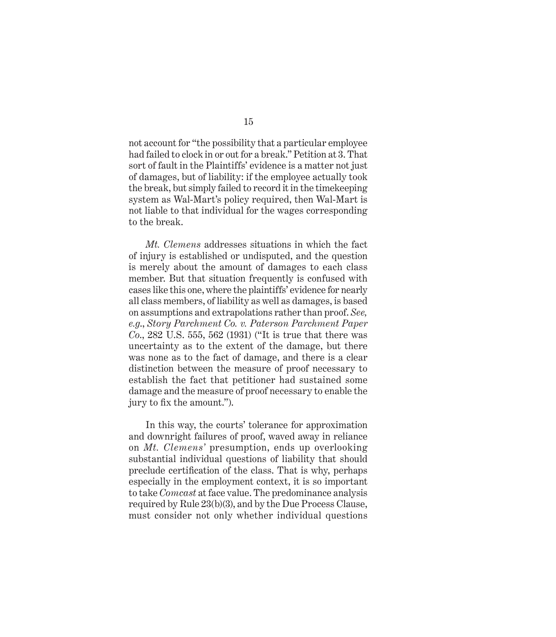not account for "the possibility that a particular employee had failed to clock in or out for a break." Petition at 3. That sort of fault in the Plaintiffs' evidence is a matter not just of damages, but of liability: if the employee actually took the break, but simply failed to record it in the timekeeping system as Wal-Mart's policy required, then Wal-Mart is not liable to that individual for the wages corresponding to the break.

*Mt. Clemens* addresses situations in which the fact of injury is established or undisputed, and the question is merely about the amount of damages to each class member. But that situation frequently is confused with cases like this one, where the plaintiffs' evidence for nearly all class members, of liability as well as damages, is based on assumptions and extrapolations rather than proof. *See, e.g*., *S tory Parchment Co. v. Paterson Parchment Paper Co*., 282 U.S. 555, 562 (1931) ("It is true that there was uncertainty as to the extent of the damage, but there was none as to the fact of damage, and there is a clear distinction between the measure of proof necessary to establish the fact that petitioner had sustained some damage and the measure of proof necessary to enable the jury to fix the amount.").

In this way, the courts' tolerance for approximation and downright failures of proof, waved away in reliance on *Mt. Clemens'* presumption, ends up overlooking substantial individual questions of liability that should preclude certification of the class. That is why, perhaps especially in the employment context, it is so important to take *Comcast* at face value. The predominance analysis required by Rule  $23(b)(3)$ , and by the Due Process Clause, must consider not only whether individual questions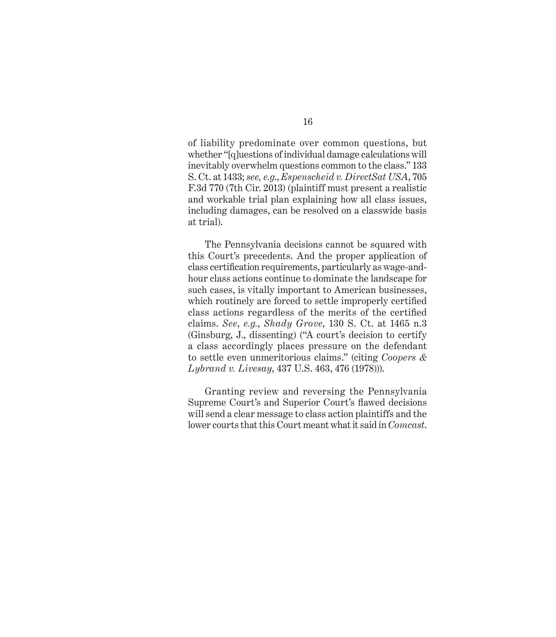of liability predominate over common questions, but whether "[q]uestions of individual damage calculations will inevitably overwhelm questions common to the class." 133 S. Ct. at 1433; *see, e.g*., *E spenscheid v. DirectSat USA*, 705 F.3d 770 (7th Cir. 2013) (plaintiff must present a realistic and workable trial plan explaining how all class issues, including damages, can be resolved on a classwide basis at trial).

The Pennsylvania decisions cannot be squared with this Court's precedents. And the proper application of class certification requirements, particularly as wage-andhour class actions continue to dominate the landscape for such cases, is vitally important to American businesses, which routinely are forced to settle improperly certified class actions regardless of the merits of the certified claims. *See, e.g., Shady Grove*, 130 S. Ct. at 1465 n.3 (Ginsburg, J., dissenting) ("A court's decision to certify a class accordingly places pressure on the defendant to settle even unmeritorious claims." (citing *Coopers & Lybrand v. Livesay*, 437 U.S. 463, 476 (1978))).

Granting review and reversing the Pennsylvania Supreme Court's and Superior Court's flawed decisions will send a clear message to class action plaintiffs and the lower courts that this *Court meant what it said in <i>Comcast*.